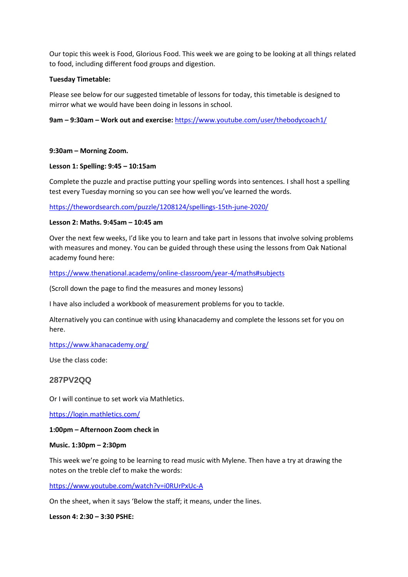Our topic this week is Food, Glorious Food. This week we are going to be looking at all things related to food, including different food groups and digestion.

### **Tuesday Timetable:**

Please see below for our suggested timetable of lessons for today, this timetable is designed to mirror what we would have been doing in lessons in school.

**9am – 9:30am – Work out and exercise:** <https://www.youtube.com/user/thebodycoach1/>

### **9:30am – Morning Zoom.**

### **Lesson 1: Spelling: 9:45 – 10:15am**

Complete the puzzle and practise putting your spelling words into sentences. I shall host a spelling test every Tuesday morning so you can see how well you've learned the words.

<https://thewordsearch.com/puzzle/1208124/spellings-15th-june-2020/>

## **Lesson 2: Maths. 9:45am – 10:45 am**

Over the next few weeks, I'd like you to learn and take part in lessons that involve solving problems with measures and money. You can be guided through these using the lessons from Oak National academy found here:

<https://www.thenational.academy/online-classroom/year-4/maths#subjects>

(Scroll down the page to find the measures and money lessons)

I have also included a workbook of measurement problems for you to tackle.

Alternatively you can continue with using khanacademy and complete the lessons set for you on here.

<https://www.khanacademy.org/>

Use the class code:

# **287PV2QQ**

Or I will continue to set work via Mathletics.

<https://login.mathletics.com/>

### **1:00pm – Afternoon Zoom check in**

### **Music. 1:30pm – 2:30pm**

This week we're going to be learning to read music with Mylene. Then have a try at drawing the notes on the treble clef to make the words:

<https://www.youtube.com/watch?v=i0RUrPxUc-A>

On the sheet, when it says 'Below the staff; it means, under the lines.

**Lesson 4: 2:30 – 3:30 PSHE:**